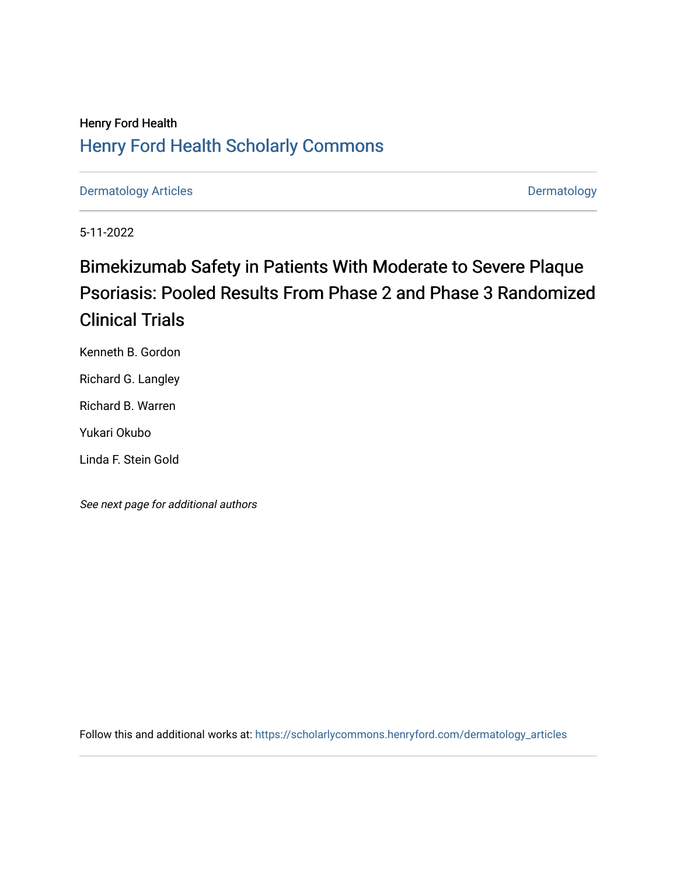# Henry Ford Health [Henry Ford Health Scholarly Commons](https://scholarlycommons.henryford.com/)

[Dermatology Articles](https://scholarlycommons.henryford.com/dermatology_articles) **Dermatology** 

5-11-2022

# Bimekizumab Safety in Patients With Moderate to Severe Plaque Psoriasis: Pooled Results From Phase 2 and Phase 3 Randomized Clinical Trials

Kenneth B. Gordon

Richard G. Langley

Richard B. Warren

Yukari Okubo

Linda F. Stein Gold

See next page for additional authors

Follow this and additional works at: [https://scholarlycommons.henryford.com/dermatology\\_articles](https://scholarlycommons.henryford.com/dermatology_articles?utm_source=scholarlycommons.henryford.com%2Fdermatology_articles%2F680&utm_medium=PDF&utm_campaign=PDFCoverPages)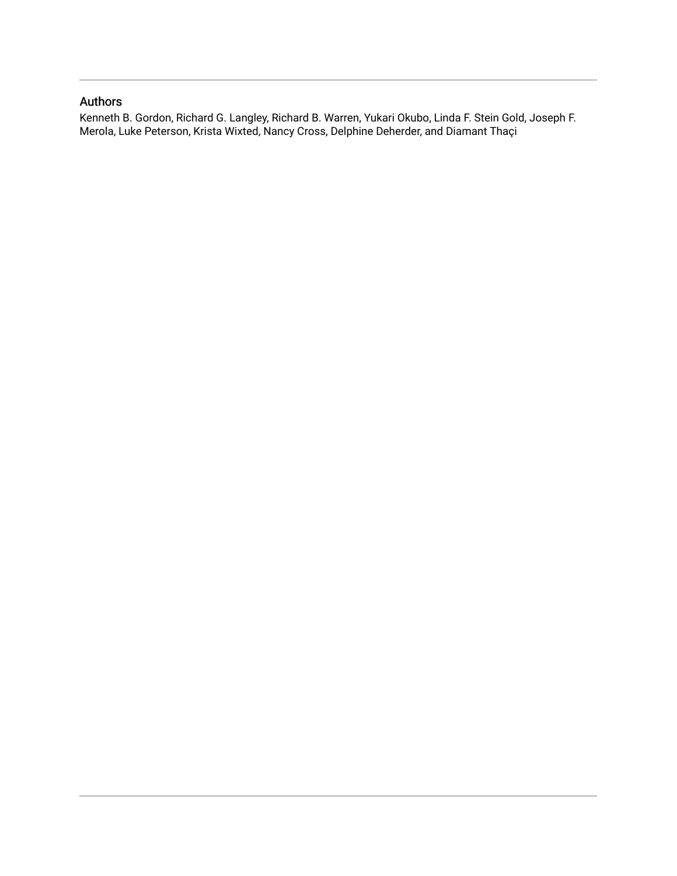# Authors

Kenneth B. Gordon, Richard G. Langley, Richard B. Warren, Yukari Okubo, Linda F. Stein Gold, Joseph F. Merola, Luke Peterson, Krista Wixted, Nancy Cross, Delphine Deherder, and Diamant Thaçi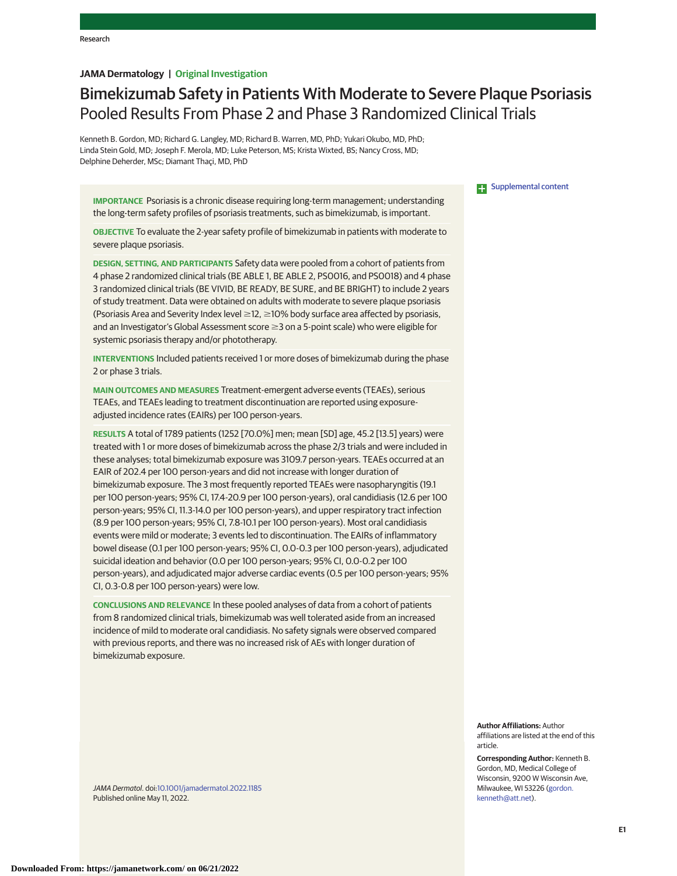# **JAMA Dermatology | Original Investigation**

# Bimekizumab Safety in Patients With Moderate to Severe Plaque Psoriasis Pooled Results From Phase 2 and Phase 3 Randomized Clinical Trials

Kenneth B. Gordon, MD; Richard G. Langley, MD; Richard B. Warren, MD, PhD; Yukari Okubo, MD, PhD; Linda Stein Gold, MD; Joseph F. Merola, MD; Luke Peterson, MS; Krista Wixted, BS; Nancy Cross, MD; Delphine Deherder, MSc; Diamant Thaçi, MD, PhD

**IMPORTANCE** Psoriasis is a chronic disease requiring long-term management; understanding the long-term safety profiles of psoriasis treatments, such as bimekizumab, is important.

**OBJECTIVE** To evaluate the 2-year safety profile of bimekizumab in patients with moderate to severe plaque psoriasis.

**DESIGN, SETTING, AND PARTICIPANTS** Safety data were pooled from a cohort of patients from 4 phase 2 randomized clinical trials (BE ABLE 1, BE ABLE 2, PS0016, and PS0018) and 4 phase 3 randomized clinical trials (BE VIVID, BE READY, BE SURE, and BE BRIGHT) to include 2 years of study treatment. Data were obtained on adults with moderate to severe plaque psoriasis (Psoriasis Area and Severity Index level  $\geq$  12,  $\geq$  10% body surface area affected by psoriasis, and an Investigator's Global Assessment score ≥3 on a 5-point scale) who were eligible for systemic psoriasis therapy and/or phototherapy.

**INTERVENTIONS** Included patients received 1 or more doses of bimekizumab during the phase 2 or phase 3 trials.

**MAIN OUTCOMES AND MEASURES** Treatment-emergent adverse events (TEAEs), serious TEAEs, and TEAEs leading to treatment discontinuation are reported using exposureadjusted incidence rates (EAIRs) per 100 person-years.

**RESULTS** A total of 1789 patients (1252 [70.0%] men; mean [SD] age, 45.2 [13.5] years) were treated with 1 or more doses of bimekizumab across the phase 2/3 trials and were included in these analyses; total bimekizumab exposure was 3109.7 person-years. TEAEs occurred at an EAIR of 202.4 per 100 person-years and did not increase with longer duration of bimekizumab exposure. The 3 most frequently reported TEAEs were nasopharyngitis (19.1 per 100 person-years; 95% CI, 17.4-20.9 per 100 person-years), oral candidiasis (12.6 per 100 person-years; 95% CI, 11.3-14.0 per 100 person-years), and upper respiratory tract infection (8.9 per 100 person-years; 95% CI, 7.8-10.1 per 100 person-years). Most oral candidiasis events were mild or moderate; 3 events led to discontinuation. The EAIRs of inflammatory bowel disease (0.1 per 100 person-years; 95% CI, 0.0-0.3 per 100 person-years), adjudicated suicidal ideation and behavior (0.0 per 100 person-years; 95% CI, 0.0-0.2 per 100 person-years), and adjudicated major adverse cardiac events (0.5 per 100 person-years; 95% CI, 0.3-0.8 per 100 person-years) were low.

**CONCLUSIONS AND RELEVANCE** In these pooled analyses of data from a cohort of patients from 8 randomized clinical trials, bimekizumab was well tolerated aside from an increased incidence of mild to moderate oral candidiasis. No safety signals were observed compared with previous reports, and there was no increased risk of AEs with longer duration of bimekizumab exposure.

JAMA Dermatol. doi[:10.1001/jamadermatol.2022.1185](https://jamanetwork.com/journals/jama/fullarticle/10.1001/jamadermatol.2022.1185?utm_campaign=articlePDF%26utm_medium=articlePDFlink%26utm_source=articlePDF%26utm_content=jamadermatol.2022.1185) Published online May 11, 2022.

**Examplemental content** 

**Author Affiliations:** Author affiliations are listed at the end of this article.

**Corresponding Author:** Kenneth B. Gordon, MD, Medical College of Wisconsin, 9200 W Wisconsin Ave, Milwaukee, WI 53226 [\(gordon.](mailto:gordon.kenneth@att.net) [kenneth@att.net\)](mailto:gordon.kenneth@att.net).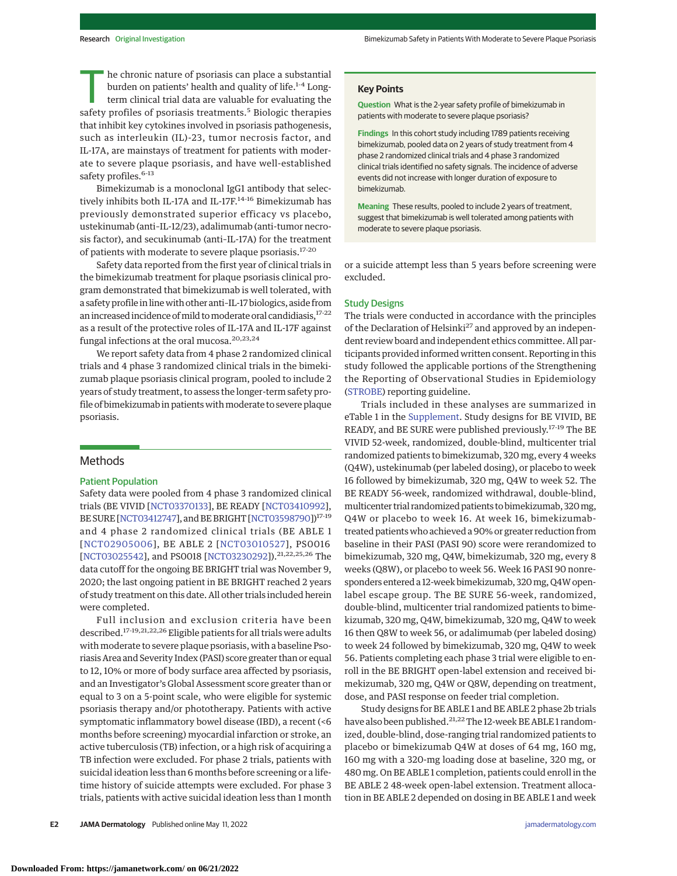he chronic nature of psoriasis can place a substantial burden on patients' health and quality of life.<sup>1-4</sup> Longterm clinical trial data are valuable for evaluating the safety profiles of psoriasis treatments.<sup>5</sup> Biologic therapies that inhibit key cytokines involved in psoriasis pathogenesis, such as interleukin (IL)-23, tumor necrosis factor, and IL-17A, are mainstays of treatment for patients with moderate to severe plaque psoriasis, and have well-established safety profiles.<sup>6-13</sup>

Bimekizumab is a monoclonal IgG1 antibody that selectively inhibits both IL-17A and IL-17F.<sup>14-16</sup> Bimekizumab has previously demonstrated superior efficacy vs placebo, ustekinumab (anti–IL-12/23), adalimumab (anti-tumor necrosis factor), and secukinumab (anti–IL-17A) for the treatment of patients with moderate to severe plaque psoriasis.17-20

Safety data reported from the first year of clinical trials in the bimekizumab treatment for plaque psoriasis clinical program demonstrated that bimekizumab is well tolerated, with a safety profile in linewith other anti–IL-17 biologics, aside from an increased incidence of mild to moderate oral candidiasis, 17-22 as a result of the protective roles of IL-17A and IL-17F against fungal infections at the oral mucosa.<sup>20,23,24</sup>

We report safety data from 4 phase 2 randomized clinical trials and 4 phase 3 randomized clinical trials in the bimekizumab plaque psoriasis clinical program, pooled to include 2 years of study treatment, to assess the longer-term safety profile of bimekizumab in patients withmoderate to severe plaque psoriasis.

# Methods

## Patient Population

Safety data were pooled from 4 phase 3 randomized clinical trials (BE VIVID [\[NCT03370133\]](https://clinicaltrials.gov/ct2/show/NCT03370133), BE READY [\[NCT03410992\]](https://clinicaltrials.gov/ct2/show/NCT03410992), BE SURE [\[NCT03412747\]](https://www.clinicaltrials.gov/ct2/show/NCT03412747), and BE BRIGHT [\[NCT03598790\]](https://clinicaltrials.gov/ct2/show/NCT03598790))17-19 and 4 phase 2 randomized clinical trials (BE ABLE 1 [\[NCT02905006\]](https://www.clinicaltrials.gov/ct2/show/NCT02905006), BE ABLE 2 [\[NCT03010527\]](https://clinicaltrials.gov/ct2/show/NCT03010527), PS0016 [\[NCT03025542\]](https://clinicaltrials.gov/ct2/show/NCT03025542), and PS0018 [\[NCT03230292\]](https://clinicaltrials.gov/ct2/show/NCT03230292)).21,22,25,26 The data cutoff for the ongoing BE BRIGHT trial was November 9, 2020; the last ongoing patient in BE BRIGHT reached 2 years of study treatment on this date. All other trials included herein were completed.

Full inclusion and exclusion criteria have been described.<sup>17-19,21,22,26</sup> Eligible patients for all trials were adults with moderate to severe plaque psoriasis, with a baseline Psoriasis Area and Severity Index (PASI) score greater than or equal to 12, 10% or more of body surface area affected by psoriasis, and an Investigator's Global Assessment score greater than or equal to 3 on a 5-point scale, who were eligible for systemic psoriasis therapy and/or phototherapy. Patients with active symptomatic inflammatory bowel disease (IBD), a recent (<6 months before screening) myocardial infarction or stroke, an active tuberculosis (TB) infection, or a high risk of acquiring a TB infection were excluded. For phase 2 trials, patients with suicidal ideation less than 6 months before screening or a lifetime history of suicide attempts were excluded. For phase 3 trials, patients with active suicidal ideation less than 1 month

#### **Key Points**

**Question** What is the 2-year safety profile of bimekizumab in patients with moderate to severe plaque psoriasis?

**Findings** In this cohort study including 1789 patients receiving bimekizumab, pooled data on 2 years of study treatment from 4 phase 2 randomized clinical trials and 4 phase 3 randomized clinical trials identified no safety signals. The incidence of adverse events did not increase with longer duration of exposure to bimekizumab.

**Meaning** These results, pooled to include 2 years of treatment, suggest that bimekizumab is well tolerated among patients with moderate to severe plaque psoriasis.

or a suicide attempt less than 5 years before screening were excluded.

## Study Designs

The trials were conducted in accordance with the principles of the Declaration of Helsinki<sup>27</sup> and approved by an independent review board and independent ethics committee. All participants provided informed written consent. Reporting in this study followed the applicable portions of the Strengthening the Reporting of Observational Studies in Epidemiology [\(STROBE\)](https://www.equator-network.org/reporting-guidelines/strobe/) reporting guideline.

Trials included in these analyses are summarized in eTable 1 in the [Supplement.](https://jamanetwork.com/journals/jama/fullarticle/10.1001/jamadermatol.2022.1185?utm_campaign=articlePDF%26utm_medium=articlePDFlink%26utm_source=articlePDF%26utm_content=jamadermatol.2022.1185) Study designs for BE VIVID, BE READY, and BE SURE were published previously.<sup>17-19</sup> The BE VIVID 52-week, randomized, double-blind, multicenter trial randomized patients to bimekizumab, 320 mg, every 4 weeks (Q4W), ustekinumab (per labeled dosing), or placebo to week 16 followed by bimekizumab, 320 mg, Q4W to week 52. The BE READY 56-week, randomized withdrawal, double-blind, multicenter trial randomized patients to bimekizumab, 320mg, Q4W or placebo to week 16. At week 16, bimekizumabtreated patients who achieved a 90% or greater reduction from baseline in their PASI (PASI 90) score were rerandomized to bimekizumab, 320 mg, Q4W, bimekizumab, 320 mg, every 8 weeks (Q8W), or placebo to week 56. Week 16 PASI 90 nonresponders entered a 12-week bimekizumab, 320mg, Q4W openlabel escape group. The BE SURE 56-week, randomized, double-blind, multicenter trial randomized patients to bimekizumab, 320 mg, Q4W, bimekizumab, 320 mg, Q4W to week 16 then Q8W to week 56, or adalimumab (per labeled dosing) to week 24 followed by bimekizumab, 320 mg, Q4W to week 56. Patients completing each phase 3 trial were eligible to enroll in the BE BRIGHT open-label extension and received bimekizumab, 320 mg, Q4W or Q8W, depending on treatment, dose, and PASI response on feeder trial completion.

Study designs for BE ABLE 1 and BE ABLE 2 phase 2b trials have also been published.<sup>21,22</sup> The 12-week BE ABLE 1 randomized, double-blind, dose-ranging trial randomized patients to placebo or bimekizumab Q4W at doses of 64 mg, 160 mg, 160 mg with a 320-mg loading dose at baseline, 320 mg, or 480 mg. On BE ABLE 1 completion, patients could enroll in the BE ABLE 2 48-week open-label extension. Treatment allocation in BE ABLE 2 depended on dosing in BE ABLE 1 and week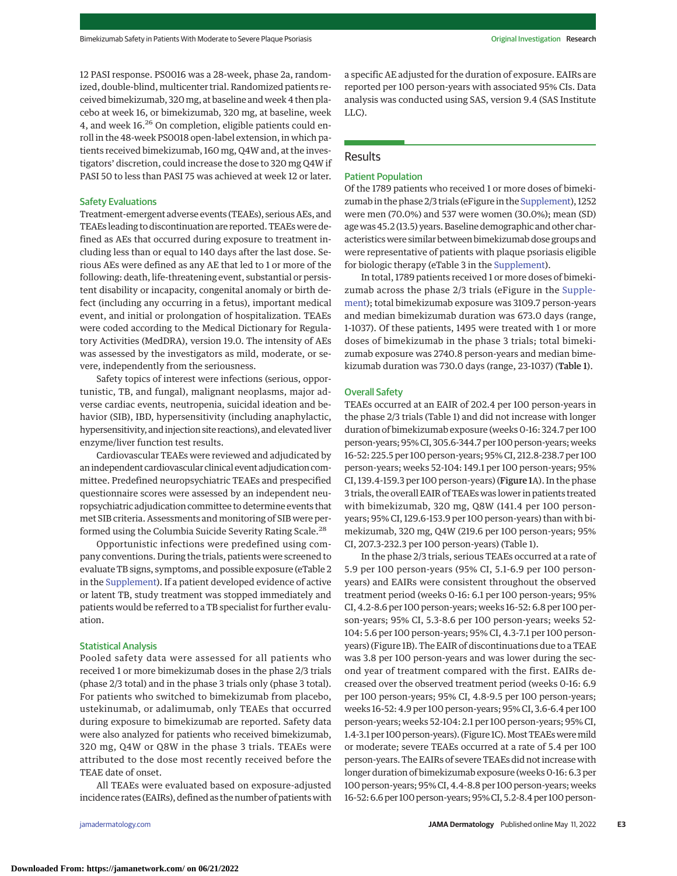12 PASI response. PS0016 was a 28-week, phase 2a, randomized, double-blind, multicenter trial. Randomized patients received bimekizumab, 320mg, at baseline and week 4 then placebo at week 16, or bimekizumab, 320 mg, at baseline, week 4, and week 16.<sup>26</sup> On completion, eligible patients could enroll in the 48-week PS0018 open-label extension, in which patients received bimekizumab, 160 mg, Q4W and, at the investigators' discretion, could increase the dose to 320 mg Q4W if PASI 50 to less than PASI 75 was achieved at week 12 or later.

#### Safety Evaluations

Treatment-emergent adverse events (TEAEs), serious AEs, and TEAEs leading to discontinuation are reported. TEAEs were defined as AEs that occurred during exposure to treatment including less than or equal to 140 days after the last dose. Serious AEs were defined as any AE that led to 1 or more of the following: death, life-threatening event, substantial or persistent disability or incapacity, congenital anomaly or birth defect (including any occurring in a fetus), important medical event, and initial or prolongation of hospitalization. TEAEs were coded according to the Medical Dictionary for Regulatory Activities (MedDRA), version 19.0. The intensity of AEs was assessed by the investigators as mild, moderate, or severe, independently from the seriousness.

Safety topics of interest were infections (serious, opportunistic, TB, and fungal), malignant neoplasms, major adverse cardiac events, neutropenia, suicidal ideation and behavior (SIB), IBD, hypersensitivity (including anaphylactic, hypersensitivity, and injection site reactions), and elevated liver enzyme/liver function test results.

Cardiovascular TEAEs were reviewed and adjudicated by an independent cardiovascular clinical event adjudication committee. Predefined neuropsychiatric TEAEs and prespecified questionnaire scores were assessed by an independent neuropsychiatric adjudication committee to determine events that met SIB criteria. Assessments and monitoring of SIB were performed using the Columbia Suicide Severity Rating Scale.<sup>28</sup>

Opportunistic infections were predefined using company conventions. During the trials, patients were screened to evaluate TB signs, symptoms, and possible exposure (eTable 2 in the [Supplement\)](https://jamanetwork.com/journals/jama/fullarticle/10.1001/jamadermatol.2022.1185?utm_campaign=articlePDF%26utm_medium=articlePDFlink%26utm_source=articlePDF%26utm_content=jamadermatol.2022.1185). If a patient developed evidence of active or latent TB, study treatment was stopped immediately and patients would be referred to a TB specialist for further evaluation.

#### Statistical Analysis

Pooled safety data were assessed for all patients who received 1 or more bimekizumab doses in the phase 2/3 trials (phase 2/3 total) and in the phase 3 trials only (phase 3 total). For patients who switched to bimekizumab from placebo, ustekinumab, or adalimumab, only TEAEs that occurred during exposure to bimekizumab are reported. Safety data were also analyzed for patients who received bimekizumab, 320 mg, Q4W or Q8W in the phase 3 trials. TEAEs were attributed to the dose most recently received before the TEAE date of onset.

All TEAEs were evaluated based on exposure-adjusted incidence rates (EAIRs), defined as the number of patients with

a specific AE adjusted for the duration of exposure. EAIRs are reported per 100 person-years with associated 95% CIs. Data analysis was conducted using SAS, version 9.4 (SAS Institute LLC).

# Results

#### Patient Population

Of the 1789 patients who received 1 or more doses of bimekizumab in the phase 2/3 trials (eFigure in the [Supplement\)](https://jamanetwork.com/journals/jama/fullarticle/10.1001/jamadermatol.2022.1185?utm_campaign=articlePDF%26utm_medium=articlePDFlink%26utm_source=articlePDF%26utm_content=jamadermatol.2022.1185), 1252 were men (70.0%) and 537 were women (30.0%); mean (SD) age was 45.2 (13.5) years. Baseline demographic and other characteristics were similar between bimekizumab dose groups and were representative of patients with plaque psoriasis eligible for biologic therapy (eTable 3 in the [Supplement\)](https://jamanetwork.com/journals/jama/fullarticle/10.1001/jamadermatol.2022.1185?utm_campaign=articlePDF%26utm_medium=articlePDFlink%26utm_source=articlePDF%26utm_content=jamadermatol.2022.1185).

In total, 1789 patients received 1 or more doses of bimekizumab across the phase 2/3 trials (eFigure in the [Supple](https://jamanetwork.com/journals/jama/fullarticle/10.1001/jamadermatol.2022.1185?utm_campaign=articlePDF%26utm_medium=articlePDFlink%26utm_source=articlePDF%26utm_content=jamadermatol.2022.1185)[ment\)](https://jamanetwork.com/journals/jama/fullarticle/10.1001/jamadermatol.2022.1185?utm_campaign=articlePDF%26utm_medium=articlePDFlink%26utm_source=articlePDF%26utm_content=jamadermatol.2022.1185); total bimekizumab exposure was 3109.7 person-years and median bimekizumab duration was 673.0 days (range, 1-1037). Of these patients, 1495 were treated with 1 or more doses of bimekizumab in the phase 3 trials; total bimekizumab exposure was 2740.8 person-years and median bimekizumab duration was 730.0 days (range, 23-1037) (Table 1).

#### Overall Safety

TEAEs occurred at an EAIR of 202.4 per 100 person-years in the phase 2/3 trials (Table 1) and did not increase with longer duration of bimekizumab exposure (weeks 0-16: 324.7 per 100 person-years; 95% CI, 305.6-344.7 per 100 person-years; weeks 16-52: 225.5 per 100 person-years; 95% CI, 212.8-238.7 per 100 person-years; weeks 52-104: 149.1 per 100 person-years; 95% CI, 139.4-159.3 per 100 person-years) (Figure 1A). In the phase 3 trials, the overall EAIR of TEAEs was lower in patients treated with bimekizumab, 320 mg, Q8W (141.4 per 100 personyears; 95% CI, 129.6-153.9 per 100 person-years) than with bimekizumab, 320 mg, Q4W (219.6 per 100 person-years; 95% CI, 207.3-232.3 per 100 person-years) (Table 1).

In the phase 2/3 trials, serious TEAEs occurred at a rate of 5.9 per 100 person-years (95% CI, 5.1-6.9 per 100 personyears) and EAIRs were consistent throughout the observed treatment period (weeks 0-16: 6.1 per 100 person-years; 95% CI, 4.2-8.6 per 100 person-years; weeks 16-52: 6.8 per 100 person-years; 95% CI, 5.3-8.6 per 100 person-years; weeks 52- 104: 5.6 per 100 person-years; 95% CI, 4.3-7.1 per 100 personyears) (Figure 1B). The EAIR of discontinuations due to a TEAE was 3.8 per 100 person-years and was lower during the second year of treatment compared with the first. EAIRs decreased over the observed treatment period (weeks 0-16: 6.9 per 100 person-years; 95% CI, 4.8-9.5 per 100 person-years; weeks 16-52: 4.9 per 100 person-years; 95% CI, 3.6-6.4 per 100 person-years; weeks 52-104: 2.1 per 100 person-years; 95% CI, 1.4-3.1 per 100 person-years). (Figure 1C). Most TEAEs were mild or moderate; severe TEAEs occurred at a rate of 5.4 per 100 person-years. The EAIRs of severe TEAEs did not increase with longer duration of bimekizumab exposure (weeks 0-16: 6.3 per 100 person-years; 95% CI, 4.4-8.8 per 100 person-years; weeks 16-52: 6.6 per 100 person-years; 95% CI, 5.2-8.4 per 100 person-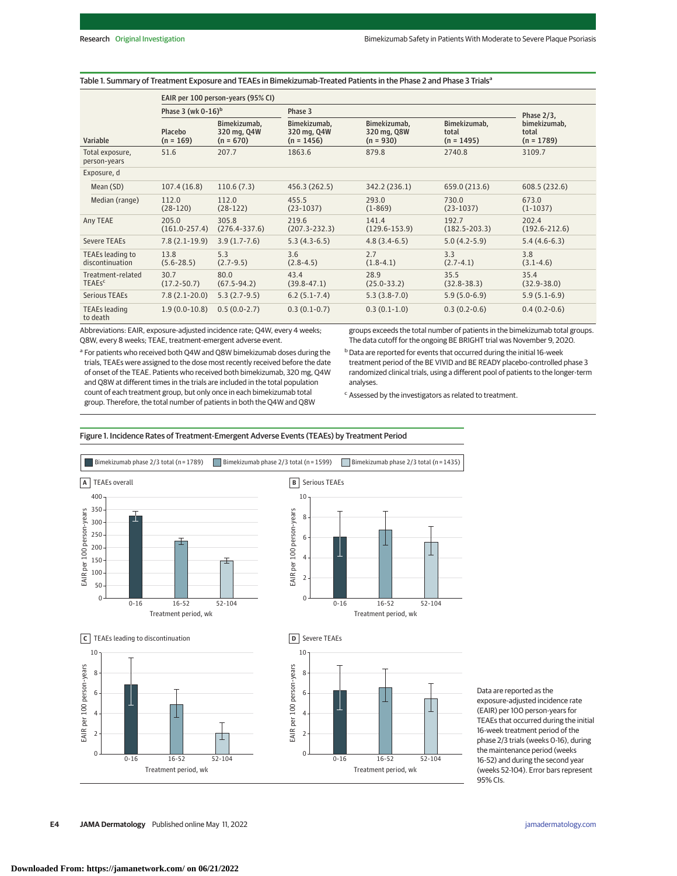|                                               | EAIR per 100 person-years (95% CI) |                                            |                                             |                                            |                                       |                                       |  |  |
|-----------------------------------------------|------------------------------------|--------------------------------------------|---------------------------------------------|--------------------------------------------|---------------------------------------|---------------------------------------|--|--|
|                                               | Phase 3 (wk $0-16$ ) <sup>b</sup>  |                                            | Phase 3                                     |                                            |                                       | Phase $2/3$ ,                         |  |  |
| Variable                                      | Placebo<br>$(n = 169)$             | Bimekizumab,<br>320 mg, Q4W<br>$(n = 670)$ | Bimekizumab,<br>320 mg, Q4W<br>$(n = 1456)$ | Bimekizumab,<br>320 mg, Q8W<br>$(n = 930)$ | Bimekizumab,<br>total<br>$(n = 1495)$ | bimekizumab,<br>total<br>$(n = 1789)$ |  |  |
| Total exposure,<br>person-years               | 51.6                               | 207.7                                      | 1863.6                                      | 879.8                                      | 2740.8                                | 3109.7                                |  |  |
| Exposure, d                                   |                                    |                                            |                                             |                                            |                                       |                                       |  |  |
| Mean (SD)                                     | 107.4(16.8)                        | 110.6(7.3)                                 | 456.3 (262.5)                               | 342.2 (236.1)                              | 659.0 (213.6)                         | 608.5 (232.6)                         |  |  |
| Median (range)                                | 112.0<br>$(28-120)$                | 112.0<br>$(28-122)$                        | 455.5<br>$(23-1037)$                        | 293.0<br>$(1 - 869)$                       | 730.0<br>$(23-1037)$                  | 673.0<br>$(1-1037)$                   |  |  |
| Any TEAE                                      | 205.0<br>$(161.0 - 257.4)$         | 305.8<br>$(276.4 - 337.6)$                 | 219.6<br>$(207.3 - 232.3)$                  | 141.4<br>$(129.6 - 153.9)$                 | 192.7<br>$(182.5 - 203.3)$            | 202.4<br>$(192.6 - 212.6)$            |  |  |
| Severe TEAEs                                  | $7.8(2.1-19.9)$                    | $3.9(1.7-7.6)$                             | $5.3(4.3-6.5)$                              | $4.8(3.4-6.5)$                             | $5.0(4.2-5.9)$                        | $5.4(4.6-6.3)$                        |  |  |
| TEAEs leading to<br>discontinuation           | 13.8<br>$(5.6 - 28.5)$             | 53<br>$(2.7-9.5)$                          | 3.6<br>$(2.8 - 4.5)$                        | 2.7<br>$(1.8-4.1)$                         | 3.3<br>$(2.7-4.1)$                    | 3.8<br>$(3.1 - 4.6)$                  |  |  |
| Treatment-related<br><b>TEAEs<sup>c</sup></b> | 30.7<br>$(17.2 - 50.7)$            | 80.0<br>$(67.5 - 94.2)$                    | 43.4<br>$(39.8 - 47.1)$                     | 28.9<br>$(25.0 - 33.2)$                    | 35.5<br>$(32.8 - 38.3)$               | 35.4<br>$(32.9 - 38.0)$               |  |  |
| <b>Serious TEAEs</b>                          | $7.8(2.1-20.0)$                    | $5.3(2.7-9.5)$                             | $6.2(5.1-7.4)$                              | $5.3(3.8-7.0)$                             | $5.9(5.0-6.9)$                        | $5.9(5.1-6.9)$                        |  |  |
| <b>TEAEs leading</b><br>to death              | $1.9(0.0-10.8)$                    | $0.5(0.0-2.7)$                             | $0.3(0.1-0.7)$                              | $0.3(0.1-1.0)$                             | $0.3(0.2-0.6)$                        | $0.4(0.2-0.6)$                        |  |  |

#### Table 1. Summary of Treatment Exposure and TEAEs in Bimekizumab-Treated Patients in the Phase 2 and Phase 3 Trials<sup>a</sup>

Abbreviations: EAIR, exposure-adjusted incidence rate; Q4W, every 4 weeks; Q8W, every 8 weeks; TEAE, treatment-emergent adverse event.

<sup>a</sup> For patients who received both Q4W and Q8W bimekizumab doses during the trials, TEAEs were assigned to the dose most recently received before the date of onset of the TEAE. Patients who received both bimekizumab, 320 mg, Q4W and Q8W at different times in the trials are included in the total population count of each treatment group, but only once in each bimekizumab total group. Therefore, the total number of patients in both the Q4W and Q8W

groups exceeds the total number of patients in the bimekizumab total groups. The data cutoff for the ongoing BE BRIGHT trial was November 9, 2020.

b Data are reported for events that occurred during the initial 16-week treatment period of the BE VIVID and BE READY placebo-controlled phase 3 randomized clinical trials, using a different pool of patients to the longer-term analyses.

 $c$  Assessed by the investigators as related to treatment.



Figure 1. Incidence Rates of Treatment-Emergent Adverse Events (TEAEs) by Treatment Period

Data are reported as the exposure-adjusted incidence rate (EAIR) per 100 person-years for TEAEs that occurred during the initial 16-week treatment period of the phase 2/3 trials (weeks 0-16), during the maintenance period (weeks 16-52) and during the second year (weeks 52-104). Error bars represent 95% CIs.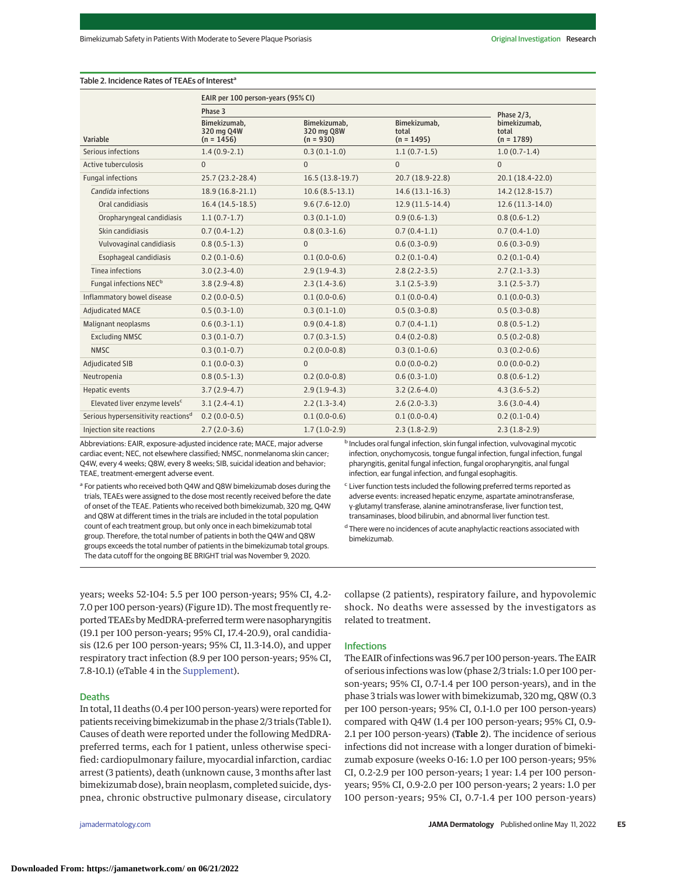Table 2. Incidence Rates of TEAEs of Interest<sup>a</sup>

|                                                 | EAIR per 100 person-years (95% CI)         |                                           |                                       |                                                        |
|-------------------------------------------------|--------------------------------------------|-------------------------------------------|---------------------------------------|--------------------------------------------------------|
|                                                 | Phase 3                                    |                                           |                                       |                                                        |
| Variable                                        | Bimekizumab.<br>320 mg Q4W<br>$(n = 1456)$ | Bimekizumab.<br>320 mg Q8W<br>$(n = 930)$ | Bimekizumab,<br>total<br>$(n = 1495)$ | Phase $2/3$ ,<br>bimekizumab,<br>total<br>$(n = 1789)$ |
| Serious infections                              | $1.4(0.9-2.1)$                             | $0.3(0.1-1.0)$                            | $1.1(0.7-1.5)$                        | $1.0(0.7-1.4)$                                         |
| Active tuberculosis                             | $\overline{0}$                             | $\mathbf{0}$                              | $\mathbf{0}$                          | $\mathbf{0}$                                           |
| <b>Fungal infections</b>                        | 25.7 (23.2-28.4)                           | $16.5(13.8-19.7)$                         | 20.7 (18.9-22.8)                      | 20.1 (18.4-22.0)                                       |
| Candida infections                              | 18.9 (16.8-21.1)                           | $10.6(8.5-13.1)$                          | $14.6(13.1-16.3)$                     | 14.2 (12.8-15.7)                                       |
| Oral candidiasis                                | $16.4(14.5-18.5)$                          | $9.6(7.6-12.0)$                           | $12.9(11.5-14.4)$                     | $12.6(11.3-14.0)$                                      |
| Oropharyngeal candidiasis                       | $1.1(0.7-1.7)$                             | $0.3(0.1-1.0)$                            | $0.9(0.6-1.3)$                        | $0.8(0.6-1.2)$                                         |
| Skin candidiasis                                | $0.7(0.4-1.2)$                             | $0.8(0.3-1.6)$                            | $0.7(0.4-1.1)$                        | $0.7(0.4-1.0)$                                         |
| Vulvovaginal candidiasis                        | $0.8(0.5-1.3)$                             | $\mathbf{0}$                              | $0.6(0.3-0.9)$                        | $0.6(0.3-0.9)$                                         |
| Esophageal candidiasis                          | $0.2(0.1-0.6)$                             | $0.1(0.0-0.6)$                            | $0.2(0.1-0.4)$                        | $0.2(0.1-0.4)$                                         |
| Tinea infections                                | $3.0(2.3-4.0)$                             | $2.9(1.9-4.3)$                            | $2.8(2.2-3.5)$                        | $2.7(2.1-3.3)$                                         |
| Fungal infections NEC <sup>b</sup>              | $3.8(2.9-4.8)$                             | $2.3(1.4-3.6)$                            | $3.1(2.5-3.9)$                        | $3.1(2.5-3.7)$                                         |
| Inflammatory bowel disease                      | $0.2(0.0-0.5)$                             | $0.1(0.0-0.6)$                            | $0.1(0.0-0.4)$                        | $0.1(0.0-0.3)$                                         |
| <b>Adjudicated MACE</b>                         | $0.5(0.3-1.0)$                             | $0.3(0.1-1.0)$                            | $0.5(0.3-0.8)$                        | $0.5(0.3-0.8)$                                         |
| Malignant neoplasms                             | $0.6(0.3-1.1)$                             | $0.9(0.4-1.8)$                            | $0.7(0.4-1.1)$                        | $0.8(0.5-1.2)$                                         |
| <b>Excluding NMSC</b>                           | $0.3(0.1-0.7)$                             | $0.7(0.3-1.5)$                            | $0.4(0.2-0.8)$                        | $0.5(0.2-0.8)$                                         |
| <b>NMSC</b>                                     | $0.3(0.1-0.7)$                             | $0.2(0.0-0.8)$                            | $0.3(0.1-0.6)$                        | $0.3(0.2-0.6)$                                         |
| <b>Adjudicated SIB</b>                          | $0.1(0.0-0.3)$                             | $\mathbf{0}$                              | $0.0(0.0-0.2)$                        | $0.0(0.0-0.2)$                                         |
| Neutropenia                                     | $0.8(0.5-1.3)$                             | $0.2(0.0-0.8)$                            | $0.6(0.3-1.0)$                        | $0.8(0.6-1.2)$                                         |
| Hepatic events                                  | $3.7(2.9-4.7)$                             | $2.9(1.9-4.3)$                            | $3.2(2.6-4.0)$                        | $4.3(3.6-5.2)$                                         |
| Elevated liver enzyme levels <sup>c</sup>       | $3.1(2.4-4.1)$                             | $2.2(1.3-3.4)$                            | $2.6(2.0-3.3)$                        | $3.6(3.0-4.4)$                                         |
| Serious hypersensitivity reactions <sup>d</sup> | $0.2(0.0-0.5)$                             | $0.1(0.0-0.6)$                            | $0.1(0.0-0.4)$                        | $0.2(0.1-0.4)$                                         |
| Injection site reactions                        | $2.7(2.0-3.6)$                             | $1.7(1.0-2.9)$                            | $2.3(1.8-2.9)$                        | $2.3(1.8-2.9)$                                         |

Abbreviations: EAIR, exposure-adjusted incidence rate; MACE, major adverse cardiac event; NEC, not elsewhere classified; NMSC, nonmelanoma skin cancer; Q4W, every 4 weeks; Q8W, every 8 weeks; SIB, suicidal ideation and behavior; TEAE, treatment-emergent adverse event.

**b** Includes oral fungal infection, skin fungal infection, vulvovaginal mycotic infection, onychomycosis, tongue fungal infection, fungal infection, fungal pharyngitis, genital fungal infection, fungal oropharyngitis, anal fungal infection, ear fungal infection, and fungal esophagitis.

<sup>a</sup> For patients who received both Q4W and Q8W bimekizumab doses during the trials, TEAEs were assigned to the dose most recently received before the date of onset of the TEAE. Patients who received both bimekizumab, 320 mg, Q4W and Q8W at different times in the trials are included in the total population count of each treatment group, but only once in each bimekizumab total group. Therefore, the total number of patients in both the Q4W and Q8W groups exceeds the total number of patients in the bimekizumab total groups. The data cutoff for the ongoing BE BRIGHT trial was November 9, 2020.

<sup>c</sup> Liver function tests included the following preferred terms reported as adverse events: increased hepatic enzyme, aspartate aminotransferase, γ-glutamyl transferase, alanine aminotransferase, liver function test, transaminases, blood bilirubin, and abnormal liver function test.

<sup>d</sup> There were no incidences of acute anaphylactic reactions associated with bimekizumab.

years; weeks 52-104: 5.5 per 100 person-years; 95% CI, 4.2- 7.0 per 100 person-years) (Figure 1D). The most frequently reported TEAEs by MedDRA-preferred term were nasopharyngitis (19.1 per 100 person-years; 95% CI, 17.4-20.9), oral candidiasis (12.6 per 100 person-years; 95% CI, 11.3-14.0), and upper respiratory tract infection (8.9 per 100 person-years; 95% CI, 7.8-10.1) (eTable 4 in the [Supplement\)](https://jamanetwork.com/journals/jama/fullarticle/10.1001/jamadermatol.2022.1185?utm_campaign=articlePDF%26utm_medium=articlePDFlink%26utm_source=articlePDF%26utm_content=jamadermatol.2022.1185).

#### Deaths

In total, 11 deaths (0.4 per 100 person-years) were reported for patients receiving bimekizumab in the phase 2/3 trials (Table 1). Causes of death were reported under the following MedDRApreferred terms, each for 1 patient, unless otherwise specified: cardiopulmonary failure, myocardial infarction, cardiac arrest (3 patients), death (unknown cause, 3 months after last bimekizumab dose), brain neoplasm, completed suicide, dyspnea, chronic obstructive pulmonary disease, circulatory

collapse (2 patients), respiratory failure, and hypovolemic shock. No deaths were assessed by the investigators as related to treatment.

# Infections

The EAIR of infections was 96.7 per 100 person-years. The EAIR of serious infections was low (phase 2/3 trials: 1.0 per 100 person-years; 95% CI, 0.7-1.4 per 100 person-years), and in the phase 3 trials was lower with bimekizumab, 320 mg, Q8W (0.3 per 100 person-years; 95% CI, 0.1-1.0 per 100 person-years) compared with Q4W (1.4 per 100 person-years; 95% CI, 0.9- 2.1 per 100 person-years) (Table 2). The incidence of serious infections did not increase with a longer duration of bimekizumab exposure (weeks 0-16: 1.0 per 100 person-years; 95% CI, 0.2-2.9 per 100 person-years; 1 year: 1.4 per 100 personyears; 95% CI, 0.9-2.0 per 100 person-years; 2 years: 1.0 per 100 person-years; 95% CI, 0.7-1.4 per 100 person-years)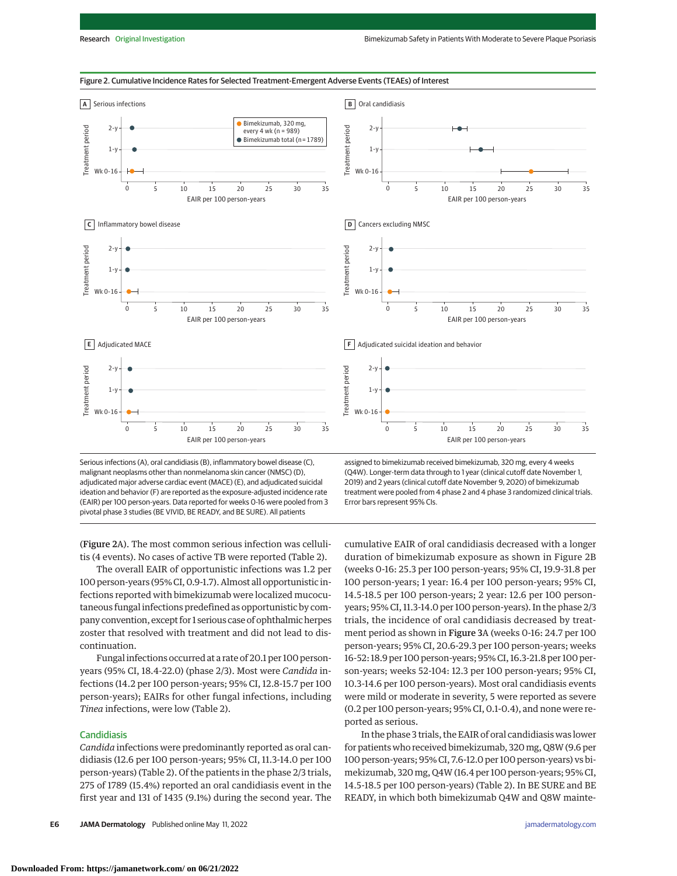

Figure 2. Cumulative Incidence Rates for Selected Treatment-Emergent Adverse Events (TEAEs) of Interest

Serious infections (A), oral candidiasis (B), inflammatory bowel disease (C), malignant neoplasms other than nonmelanoma skin cancer (NMSC) (D), adjudicated major adverse cardiac event (MACE) (E), and adjudicated suicidal ideation and behavior (F) are reported as the exposure-adjusted incidence rate (EAIR) per 100 person-years. Data reported for weeks 0-16 were pooled from 3 pivotal phase 3 studies (BE VIVID, BE READY, and BE SURE). All patients

assigned to bimekizumab received bimekizumab, 320 mg, every 4 weeks (Q4W). Longer-term data through to 1 year (clinical cutoff date November 1, 2019) and 2 years (clinical cutoff date November 9, 2020) of bimekizumab treatment were pooled from 4 phase 2 and 4 phase 3 randomized clinical trials. Error bars represent 95% CIs.

cumulative EAIR of oral candidiasis decreased with a longer duration of bimekizumab exposure as shown in Figure 2B (weeks 0-16: 25.3 per 100 person-years; 95% CI, 19.9-31.8 per

(Figure 2A). The most common serious infection was cellulitis (4 events). No cases of active TB were reported (Table 2).

The overall EAIR of opportunistic infections was 1.2 per 100 person-years (95% CI, 0.9-1.7). Almost all opportunistic infections reported with bimekizumab were localized mucocutaneous fungal infections predefined as opportunistic by company convention, except for 1 serious case of ophthalmic herpes zoster that resolved with treatment and did not lead to discontinuation.

Fungal infections occurred at a rate of 20.1 per 100 personyears (95% CI, 18.4-22.0) (phase 2/3). Most were *Candida* infections (14.2 per 100 person-years; 95% CI, 12.8-15.7 per 100 person-years); EAIRs for other fungal infections, including *Tinea* infections, were low (Table 2).

# Candidiasis

*Candida* infections were predominantly reported as oral candidiasis (12.6 per 100 person-years; 95% CI, 11.3-14.0 per 100 person-years) (Table 2). Of the patients in the phase 2/3 trials, 275 of 1789 (15.4%) reported an oral candidiasis event in the first year and 131 of 1435 (9.1%) during the second year. The

**E6 JAMA Dermatology** Published online May 11, 2022 **and 2023 (Reprinting)** is a structure of the structure of the structure of the structure of the structure of the structure of the structure of the structure of the str

100 person-years; 1 year: 16.4 per 100 person-years; 95% CI, 14.5-18.5 per 100 person-years; 2 year: 12.6 per 100 personyears; 95% CI, 11.3-14.0 per 100 person-years). In the phase 2/3 trials, the incidence of oral candidiasis decreased by treatment period as shown in Figure 3A (weeks 0-16: 24.7 per 100 person-years; 95% CI, 20.6-29.3 per 100 person-years; weeks 16-52: 18.9 per 100 person-years; 95% CI, 16.3-21.8 per 100 person-years; weeks 52-104: 12.3 per 100 person-years; 95% CI, 10.3-14.6 per 100 person-years). Most oral candidiasis events were mild or moderate in severity, 5 were reported as severe (0.2 per 100 person-years; 95% CI, 0.1-0.4), and none were reported as serious.

In the phase 3 trials, the EAIR of oral candidiasis was lower for patients who received bimekizumab, 320mg, Q8W (9.6 per 100 person-years; 95% CI, 7.6-12.0 per 100 person-years) vs bimekizumab, 320 mg, Q4W (16.4 per 100 person-years; 95% CI, 14.5-18.5 per 100 person-years) (Table 2). In BE SURE and BE READY, in which both bimekizumab Q4W and Q8W mainte-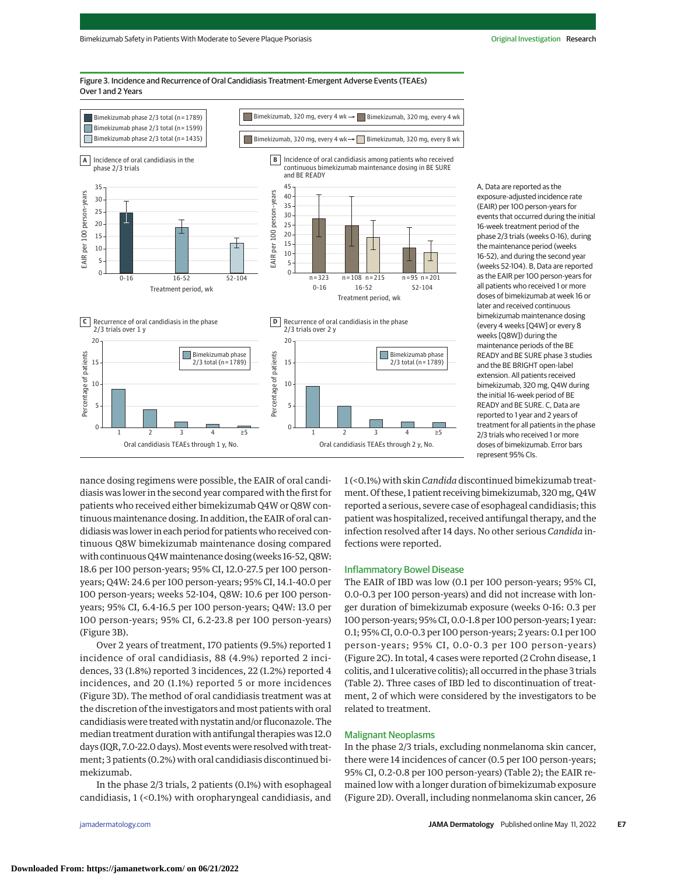

Figure 3. Incidence and Recurrence of Oral Candidiasis Treatment-Emergent Adverse Events (TEAEs) Over 1 and 2 Years

> exposure-adjusted incidence rate (EAIR) per 100 person-years for events that occurred during the initial 16-week treatment period of the phase 2/3 trials (weeks 0-16), during the maintenance period (weeks 16-52), and during the second year (weeks 52-104). B, Data are reported as the EAIR per 100 person-years for all patients who received 1 or more doses of bimekizumab at week 16 or later and received continuous bimekizumab maintenance dosing (every 4 weeks [Q4W] or every 8 weeks [Q8W]) during the maintenance periods of the BE READY and BE SURE phase 3 studies and the BE BRIGHT open-label extension. All patients received bimekizumab, 320 mg, Q4W during the initial 16-week period of BE READY and BE SURE. C, Data are reported to 1 year and 2 years of treatment for all patients in the phase 2/3 trials who received 1 or more doses of bimekizumab. Error bars represent 95% CIs.

nance dosing regimens were possible, the EAIR of oral candidiasis was lower in the second year compared with the first for patients who received either bimekizumab Q4W or Q8W continuous maintenance dosing. In addition, the EAIR of oral candidiasis was lower in each period for patients who received continuous Q8W bimekizumab maintenance dosing compared with continuous Q4Wmaintenance dosing (weeks 16-52, Q8W: 18.6 per 100 person-years; 95% CI, 12.0-27.5 per 100 personyears; Q4W: 24.6 per 100 person-years; 95% CI, 14.1-40.0 per 100 person-years; weeks 52-104, Q8W: 10.6 per 100 personyears; 95% CI, 6.4-16.5 per 100 person-years; Q4W: 13.0 per 100 person-years; 95% CI, 6.2-23.8 per 100 person-years) (Figure 3B).

Over 2 years of treatment, 170 patients (9.5%) reported 1 incidence of oral candidiasis, 88 (4.9%) reported 2 incidences, 33 (1.8%) reported 3 incidences, 22 (1.2%) reported 4 incidences, and 20 (1.1%) reported 5 or more incidences (Figure 3D). The method of oral candidiasis treatment was at the discretion of the investigators and most patients with oral candidiasis were treated with nystatin and/or fluconazole. The median treatment duration with antifungal therapies was 12.0 days (IQR, 7.0-22.0 days). Most events were resolved with treatment; 3 patients (0.2%) with oral candidiasis discontinued bimekizumab.

In the phase 2/3 trials, 2 patients (0.1%) with esophageal candidiasis, 1 (<0.1%) with oropharyngeal candidiasis, and

1 (<0.1%) with skin *Candida* discontinued bimekizumab treatment. Of these, 1 patient receiving bimekizumab, 320mg, Q4W reported a serious, severe case of esophageal candidiasis; this patient was hospitalized, received antifungal therapy, and the infection resolved after 14 days. No other serious *Candida* infections were reported.

#### Inflammatory Bowel Disease

The EAIR of IBD was low (0.1 per 100 person-years; 95% CI, 0.0-0.3 per 100 person-years) and did not increase with longer duration of bimekizumab exposure (weeks 0-16: 0.3 per 100 person-years; 95% CI, 0.0-1.8 per 100 person-years; 1 year: 0.1; 95% CI, 0.0-0.3 per 100 person-years; 2 years: 0.1 per 100 person-years; 95% CI, 0.0-0.3 per 100 person-years) (Figure 2C). In total, 4 cases were reported (2 Crohn disease, 1 colitis, and 1 ulcerative colitis); all occurred in the phase 3 trials (Table 2). Three cases of IBD led to discontinuation of treatment, 2 of which were considered by the investigators to be related to treatment.

#### Malignant Neoplasms

In the phase 2/3 trials, excluding nonmelanoma skin cancer, there were 14 incidences of cancer (0.5 per 100 person-years; 95% CI, 0.2-0.8 per 100 person-years) (Table 2); the EAIR remained low with a longer duration of bimekizumab exposure (Figure 2D). Overall, including nonmelanoma skin cancer, 26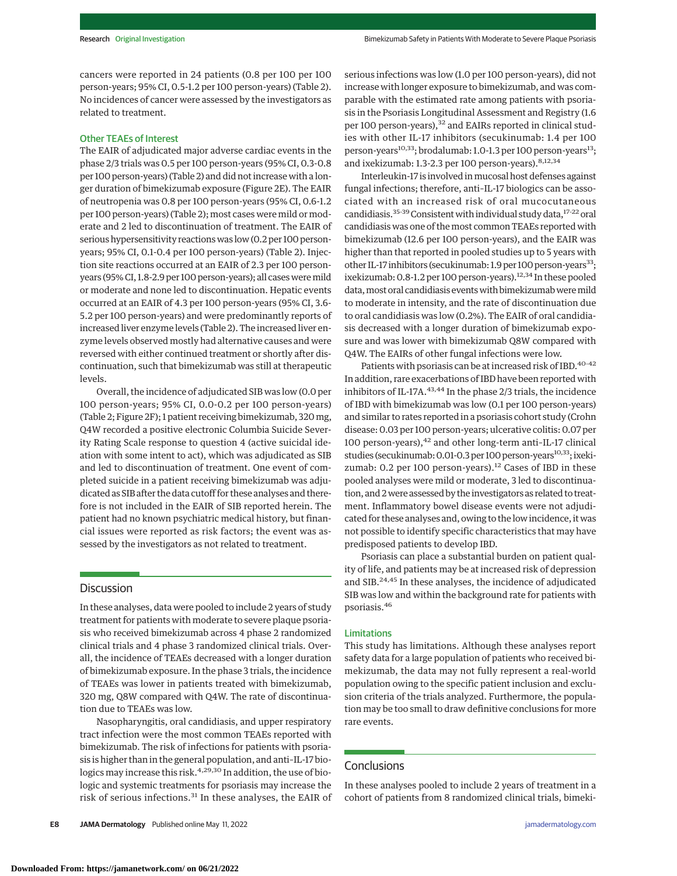cancers were reported in 24 patients (0.8 per 100 per 100 person-years; 95% CI, 0.5-1.2 per 100 person-years) (Table 2). No incidences of cancer were assessed by the investigators as related to treatment.

# Other TEAEs of Interest

The EAIR of adjudicated major adverse cardiac events in the phase 2/3 trials was 0.5 per 100 person-years (95% CI, 0.3-0.8 per 100 person-years) (Table 2) and did not increase with a longer duration of bimekizumab exposure (Figure 2E). The EAIR of neutropenia was 0.8 per 100 person-years (95% CI, 0.6-1.2 per 100 person-years) (Table 2); most cases were mild or moderate and 2 led to discontinuation of treatment. The EAIR of serious hypersensitivity reactions was low (0.2 per 100 personyears; 95% CI, 0.1-0.4 per 100 person-years) (Table 2). Injection site reactions occurred at an EAIR of 2.3 per 100 personyears (95% CI, 1.8-2.9 per 100 person-years); all cases weremild or moderate and none led to discontinuation. Hepatic events occurred at an EAIR of 4.3 per 100 person-years (95% CI, 3.6- 5.2 per 100 person-years) and were predominantly reports of increased liver enzyme levels (Table 2). The increased liver enzyme levels observed mostly had alternative causes and were reversed with either continued treatment or shortly after discontinuation, such that bimekizumab was still at therapeutic levels.

Overall, the incidence of adjudicated SIB was low (0.0 per 100 person-years; 95% CI, 0.0-0.2 per 100 person-years) (Table 2; Figure 2F); 1 patient receiving bimekizumab, 320 mg, Q4W recorded a positive electronic Columbia Suicide Severity Rating Scale response to question 4 (active suicidal ideation with some intent to act), which was adjudicated as SIB and led to discontinuation of treatment. One event of completed suicide in a patient receiving bimekizumab was adjudicated as SIB after the data cutoff for these analyses and therefore is not included in the EAIR of SIB reported herein. The patient had no known psychiatric medical history, but financial issues were reported as risk factors; the event was assessed by the investigators as not related to treatment.

# **Discussion**

In these analyses, data were pooled to include 2 years of study treatment for patients with moderate to severe plaque psoriasis who received bimekizumab across 4 phase 2 randomized clinical trials and 4 phase 3 randomized clinical trials. Overall, the incidence of TEAEs decreased with a longer duration of bimekizumab exposure. In the phase 3 trials, the incidence of TEAEs was lower in patients treated with bimekizumab, 320 mg, Q8W compared with Q4W. The rate of discontinuation due to TEAEs was low.

Nasopharyngitis, oral candidiasis, and upper respiratory tract infection were the most common TEAEs reported with bimekizumab. The risk of infections for patients with psoriasis is higher than in the general population, and anti–IL-17 biologics may increase this risk.<sup>4,29,30</sup> In addition, the use of biologic and systemic treatments for psoriasis may increase the risk of serious infections.<sup>31</sup> In these analyses, the EAIR of serious infections was low (1.0 per 100 person-years), did not increase with longer exposure to bimekizumab, and was comparable with the estimated rate among patients with psoriasis in the Psoriasis Longitudinal Assessment and Registry (1.6 per 100 person-years),<sup>32</sup> and EAIRs reported in clinical studies with other IL-17 inhibitors (secukinumab: 1.4 per 100 person-years<sup>10,33</sup>; brodalumab: 1.0-1.3 per 100 person-years<sup>13</sup>; and ixekizumab: 1.3-2.3 per 100 person-years). <sup>8,12,34</sup>

Interleukin-17 is involved inmucosal host defenses against fungal infections; therefore, anti–IL-17 biologics can be associated with an increased risk of oral mucocutaneous candidiasis.<sup>35-39</sup> Consistent with individual study data,<sup>17-22</sup> oral candidiasis was one of themost common TEAEs reported with bimekizumab (12.6 per 100 person-years), and the EAIR was higher than that reported in pooled studies up to 5 years with other IL-17 inhibitors (secukinumab: 1.9 per 100 person-years<sup>33</sup>; ixekizumab: 0.8-1.2 per 100 person-years). $12,34$  In these pooled data, most oral candidiasis events with bimekizumab were mild to moderate in intensity, and the rate of discontinuation due to oral candidiasis was low (0.2%). The EAIR of oral candidiasis decreased with a longer duration of bimekizumab exposure and was lower with bimekizumab Q8W compared with Q4W. The EAIRs of other fungal infections were low.

Patients with psoriasis can be at increased risk of IBD.<sup>40-42</sup> In addition, rare exacerbations of IBD have been reported with inhibitors of IL-17A.<sup>43,44</sup> In the phase 2/3 trials, the incidence of IBD with bimekizumab was low (0.1 per 100 person-years) and similar to rates reported in a psoriasis cohort study (Crohn disease: 0.03 per 100 person-years; ulcerative colitis: 0.07 per 100 person-years), $42$  and other long-term anti-IL-17 clinical studies (secukinumab: 0.01-0.3 per 100 person-years<sup>10,33</sup>; ixekizumab: 0.2 per 100 person-years). $12$  Cases of IBD in these pooled analyses were mild or moderate, 3 led to discontinuation, and 2were assessed by the investigators as related to treatment. Inflammatory bowel disease events were not adjudicated for these analyses and, owing to the low incidence, it was not possible to identify specific characteristics that may have predisposed patients to develop IBD.

Psoriasis can place a substantial burden on patient quality of life, and patients may be at increased risk of depression and SIB.<sup>24,45</sup> In these analyses, the incidence of adjudicated SIB was low and within the background rate for patients with psoriasis.<sup>46</sup>

## Limitations

This study has limitations. Although these analyses report safety data for a large population of patients who received bimekizumab, the data may not fully represent a real-world population owing to the specific patient inclusion and exclusion criteria of the trials analyzed. Furthermore, the population may be too small to draw definitive conclusions for more rare events.

# **Conclusions**

In these analyses pooled to include 2 years of treatment in a cohort of patients from 8 randomized clinical trials, bimeki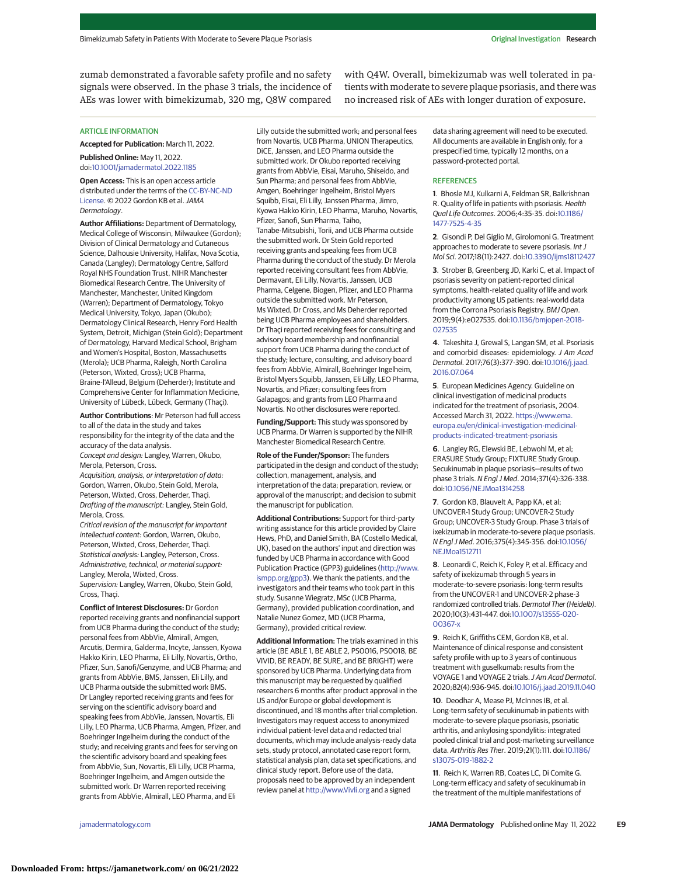zumab demonstrated a favorable safety profile and no safety signals were observed. In the phase 3 trials, the incidence of AEs was lower with bimekizumab, 320 mg, Q8W compared

with Q4W. Overall, bimekizumab was well tolerated in patients with moderate to severe plaque psoriasis, and there was no increased risk of AEs with longer duration of exposure.

#### ARTICLE INFORMATION

**Accepted for Publication:** March 11, 2022. **Published Online:** May 11, 2022.

doi[:10.1001/jamadermatol.2022.1185](https://jamanetwork.com/journals/jama/fullarticle/10.1001/jamadermatol.2022.1185?utm_campaign=articlePDF%26utm_medium=articlePDFlink%26utm_source=articlePDF%26utm_content=jamadermatol.2022.1185) **Open Access:** This is an open access article

distributed under the terms of the [CC-BY-NC-ND](https://jamanetwork.com/pages/cc-by-nc-nd-license-permissions?utm_campaign=articlePDF%26utm_medium=articlePDFlink%26utm_source=articlePDF%26utm_content=jamadermatol.2022.1185) [License.](https://jamanetwork.com/pages/cc-by-nc-nd-license-permissions?utm_campaign=articlePDF%26utm_medium=articlePDFlink%26utm_source=articlePDF%26utm_content=jamadermatol.2022.1185) © 2022 Gordon KB et al.JAMA Dermatology.

**Author Affiliations:** Department of Dermatology, Medical College of Wisconsin, Milwaukee (Gordon); Division of Clinical Dermatology and Cutaneous Science, Dalhousie University, Halifax, Nova Scotia, Canada (Langley); Dermatology Centre, Salford Royal NHS Foundation Trust, NIHR Manchester Biomedical Research Centre, The University of Manchester, Manchester, United Kingdom (Warren); Department of Dermatology, Tokyo Medical University, Tokyo, Japan (Okubo); Dermatology Clinical Research, Henry Ford Health System, Detroit, Michigan (Stein Gold); Department of Dermatology, Harvard Medical School, Brigham and Women's Hospital, Boston, Massachusetts (Merola); UCB Pharma, Raleigh, North Carolina (Peterson, Wixted, Cross); UCB Pharma, Braine-l'Alleud, Belgium (Deherder); Institute and Comprehensive Center for Inflammation Medicine, University of Lübeck, Lübeck, Germany (Thaçi).

**Author Contributions**: Mr Peterson had full access to all of the data in the study and takes responsibility for the integrity of the data and the accuracy of the data analysis. Concept and design: Langley, Warren, Okubo, Merola, Peterson, Cross.

Acquisition, analysis, or interpretation of data: Gordon, Warren, Okubo, Stein Gold, Merola, Peterson, Wixted, Cross, Deherder, Thaçi. Drafting of the manuscript: Langley, Stein Gold, Merola, Cross.

Critical revision of the manuscript for important intellectual content: Gordon, Warren, Okubo, Peterson, Wixted, Cross, Deherder, Thaçi. Statistical analysis: Langley, Peterson, Cross. Administrative, technical, or material support: Langley, Merola, Wixted, Cross. Supervision: Langley, Warren, Okubo, Stein Gold,

Cross, Thaçi. **Conflict of Interest Disclosures:** Dr Gordon

reported receiving grants and nonfinancial support from UCB Pharma during the conduct of the study; personal fees from AbbVie, Almirall, Amgen, Arcutis, Dermira, Galderma, Incyte, Janssen, Kyowa Hakko Kirin, LEO Pharma, Eli Lilly, Novartis, Ortho, Pfizer, Sun, Sanofi/Genzyme, and UCB Pharma; and grants from AbbVie, BMS, Janssen, Eli Lilly, and UCB Pharma outside the submitted work BMS. Dr Langley reported receiving grants and fees for serving on the scientific advisory board and speaking fees from AbbVie, Janssen, Novartis, Eli Lilly, LEO Pharma, UCB Pharma, Amgen, Pfizer, and Boehringer Ingelheim during the conduct of the study; and receiving grants and fees for serving on the scientific advisory board and speaking fees from AbbVie, Sun, Novartis, Eli Lilly, UCB Pharma, Boehringer Ingelheim, and Amgen outside the submitted work. Dr Warren reported receiving grants from AbbVie, Almirall, LEO Pharma, and Eli

Lilly outside the submitted work; and personal fees from Novartis, UCB Pharma, UNION Therapeutics, DiCE, Janssen, and LEO Pharma outside the submitted work. Dr Okubo reported receiving grants from AbbVie, Eisai, Maruho, Shiseido, and Sun Pharma; and personal fees from AbbVie, Amgen, Boehringer Ingelheim, Bristol Myers Squibb, Eisai, Eli Lilly, Janssen Pharma, Jimro, Kyowa Hakko Kirin, LEO Pharma, Maruho, Novartis, Pfizer, Sanofi, Sun Pharma, Taiho, Tanabe-Mitsubishi, Torii, and UCB Pharma outside the submitted work. Dr Stein Gold reported receiving grants and speaking fees from UCB Pharma during the conduct of the study. Dr Merola reported receiving consultant fees from AbbVie, Dermavant, Eli Lilly, Novartis, Janssen, UCB Pharma, Celgene, Biogen, Pfizer, and LEO Pharma outside the submitted work. Mr Peterson, Ms Wixted, Dr Cross, and Ms Deherder reported being UCB Pharma employees and shareholders. Dr Thaçi reported receiving fees for consulting and advisory board membership and nonfinancial support from UCB Pharma during the conduct of the study; lecture, consulting, and advisory board fees from AbbVie, Almirall, Boehringer Ingelheim, Bristol Myers Squibb, Janssen, Eli Lilly, LEO Pharma, Novartis, and Pfizer; consulting fees from Galapagos; and grants from LEO Pharma and Novartis. No other disclosures were reported.

**Funding/Support:** This study was sponsored by UCB Pharma. Dr Warren is supported by the NIHR Manchester Biomedical Research Centre.

**Role of the Funder/Sponsor:** The funders participated in the design and conduct of the study; collection, management, analysis, and interpretation of the data; preparation, review, or approval of the manuscript; and decision to submit the manuscript for publication.

**Additional Contributions:** Support for third-party writing assistance for this article provided by Claire Hews, PhD, and Daniel Smith, BA (Costello Medical, UK), based on the authors' input and direction was funded by UCB Pharma in accordance with Good Publication Practice (GPP3) guidelines [\(http://www.](http://www.ismpp.org/gpp3) [ismpp.org/gpp3\)](http://www.ismpp.org/gpp3). We thank the patients, and the investigators and their teams who took part in this study. Susanne Wiegratz, MSc (UCB Pharma, Germany), provided publication coordination, and Natalie Nunez Gomez, MD (UCB Pharma, Germany), provided critical review.

**Additional Information:** The trials examined in this article (BE ABLE 1, BE ABLE 2, PS0016, PS0018, BE VIVID, BE READY, BE SURE, and BE BRIGHT) were sponsored by UCB Pharma. Underlying data from this manuscript may be requested by qualified researchers 6 months after product approval in the US and/or Europe or global development is discontinued, and 18 months after trial completion. Investigators may request access to anonymized individual patient-level data and redacted trial documents, which may include analysis-ready data sets, study protocol, annotated case report form, statistical analysis plan, data set specifications, and clinical study report. Before use of the data, proposals need to be approved by an independent review panel at <http://www.Vivli.org> and a signed

data sharing agreement will need to be executed. All documents are available in English only, for a prespecified time, typically 12 months, on a password-protected portal.

# **REFERENCES**

**1**. Bhosle MJ, Kulkarni A, Feldman SR, Balkrishnan R. Quality of life in patients with psoriasis. Health Qual Life Outcomes. 2006;4:35-35. doi[:10.1186/](https://dx.doi.org/10.1186/1477-7525-4-35) [1477-7525-4-35](https://dx.doi.org/10.1186/1477-7525-4-35)

**2**. Gisondi P, Del Giglio M, Girolomoni G. Treatment approaches to moderate to severe psoriasis. Int J Mol Sci. 2017;18(11):2427. doi[:10.3390/ijms18112427](https://dx.doi.org/10.3390/ijms18112427)

**3**. Strober B, Greenberg JD, Karki C, et al. Impact of psoriasis severity on patient-reported clinical symptoms, health-related quality of life and work productivity among US patients: real-world data from the Corrona Psoriasis Registry. BMJ Open. 2019;9(4):e027535. doi[:10.1136/bmjopen-2018-](https://dx.doi.org/10.1136/bmjopen-2018-027535) [027535](https://dx.doi.org/10.1136/bmjopen-2018-027535)

**4**. Takeshita J, Grewal S, Langan SM, et al. Psoriasis and comorbid diseases: epidemiology. J Am Acad Dermatol. 2017;76(3):377-390. doi[:10.1016/j.jaad.](https://dx.doi.org/10.1016/j.jaad.2016.07.064) [2016.07.064](https://dx.doi.org/10.1016/j.jaad.2016.07.064)

**5**. European Medicines Agency. Guideline on clinical investigation of medicinal products indicated for the treatment of psoriasis, 2004. Accessed March 31, 2022. [https://www.ema.](https://www.ema.europa.eu/en/clinical-investigation-medicinal-products-indicated-treatment-psoriasis) [europa.eu/en/clinical-investigation-medicinal](https://www.ema.europa.eu/en/clinical-investigation-medicinal-products-indicated-treatment-psoriasis)[products-indicated-treatment-psoriasis](https://www.ema.europa.eu/en/clinical-investigation-medicinal-products-indicated-treatment-psoriasis)

**6**. Langley RG, Elewski BE, Lebwohl M, et al; ERASURE Study Group; FIXTURE Study Group. Secukinumab in plaque psoriasis—results of two phase 3 trials. N Engl J Med. 2014;371(4):326-338. doi[:10.1056/NEJMoa1314258](https://dx.doi.org/10.1056/NEJMoa1314258)

**7**. Gordon KB, Blauvelt A, Papp KA, et al; UNCOVER-1 Study Group; UNCOVER-2 Study Group; UNCOVER-3 Study Group. Phase 3 trials of ixekizumab in moderate-to-severe plaque psoriasis. N Engl J Med. 2016;375(4):345-356. doi[:10.1056/](https://dx.doi.org/10.1056/NEJMoa1512711) [NEJMoa1512711](https://dx.doi.org/10.1056/NEJMoa1512711)

**8**. Leonardi C, Reich K, Foley P, et al. Efficacy and safety of ixekizumab through 5 years in moderate-to-severe psoriasis: long-term results from the UNCOVER-1 and UNCOVER-2 phase-3 randomized controlled trials. Dermatol Ther (Heidelb). 2020;10(3):431-447. doi[:10.1007/s13555-020-](https://dx.doi.org/10.1007/s13555-020-00367-x) [00367-x](https://dx.doi.org/10.1007/s13555-020-00367-x)

**9**. Reich K, Griffiths CEM, Gordon KB, et al. Maintenance of clinical response and consistent safety profile with up to 3 years of continuous treatment with guselkumab: results from the VOYAGE 1 and VOYAGE 2 trials.J Am Acad Dermatol. 2020;82(4):936-945. doi[:10.1016/j.jaad.2019.11.040](https://dx.doi.org/10.1016/j.jaad.2019.11.040)

**10**. Deodhar A, Mease PJ, McInnes IB, et al. Long-term safety of secukinumab in patients with moderate-to-severe plaque psoriasis, psoriatic arthritis, and ankylosing spondylitis: integrated pooled clinical trial and post-marketing surveillance data. Arthritis Res Ther. 2019;21(1):111. doi[:10.1186/](https://dx.doi.org/10.1186/s13075-019-1882-2) [s13075-019-1882-2](https://dx.doi.org/10.1186/s13075-019-1882-2)

**11**. Reich K, Warren RB, Coates LC, Di Comite G. Long-term efficacy and safety of secukinumab in the treatment of the multiple manifestations of